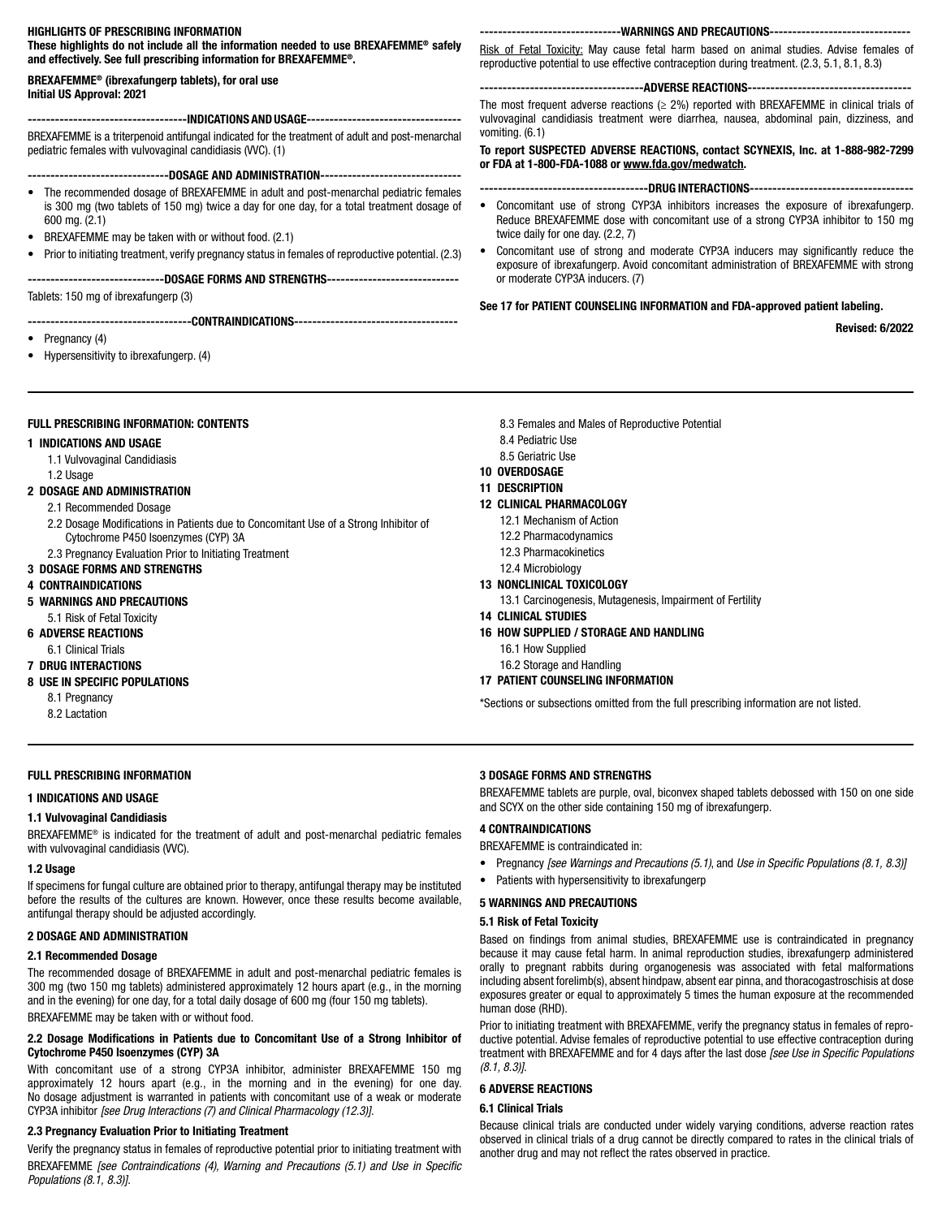# HIGHLIGHTS OF PRESCRIBING INFORMATION

These highlights do not include all the information needed to use BREXAFEMME® safely and effectively. See full prescribing information for BREXAFEMME®.

### BREXAFEMME® (ibrexafungerp tablets), for oral use Initial US Approval: 2021

## ----INDICATIONS AND USAGE-----

BREXAFEMME is a triterpenoid antifungal indicated for the treatment of adult and post-menarchal pediatric females with vulvovaginal candidiasis (VVC). (1)

# ----------DOSAGE AND ADMINISTRATION---

- The recommended dosage of BREXAFEMME in adult and post-menarchal pediatric females is 300 mg (two tablets of 150 mg) twice a day for one day, for a total treatment dosage of 600 mg. (2.1)
- BREXAFEMME may be taken with or without food. (2.1)
- Prior to initiating treatment, verify pregnancy status in females of reproductive potential. (2.3)

# ---------DOSAGE FORMS AND STRENGTHS-----------------------

Tablets: 150 mg of ibrexafungerp (3)

#### -------------------------------------CONTRAINDICATIONS------------------------------

- Pregnancy (4)
- Hypersensitivity to ibrexafungerp. (4)

# FULL PRESCRIBING INFORMATION: CONTENTS

#### 1 INDICATIONS AND USAGE

- 1.1 Vulvovaginal Candidiasis
- 1.2 Usage

# 2 DOSAGE AND ADMINISTRATION

- 2.1 Recommended Dosage
- 2.2 Dosage Modifications in Patients due to Concomitant Use of a Strong Inhibitor of Cytochrome P450 Isoenzymes (CYP) 3A
- 2.3 Pregnancy Evaluation Prior to Initiating Treatment
- 3 DOSAGE FORMS AND STRENGTHS

#### 4 CONTRAINDICATIONS

- 5 WARNINGS AND PRECAUTIONS
- 5.1 Risk of Fetal Toxicity
- 6 ADVERSE REACTIONS
	- 6.1 Clinical Trials
- 7 DRUG INTERACTIONS

#### 8 USE IN SPECIFIC POPULATIONS

- 8.1 Pregnancy
- 8.2 Lactation

## FULL PRESCRIBING INFORMATION

# 1 INDICATIONS AND USAGE

#### 1.1 Vulvovaginal Candidiasis

BREXAFEMME® is indicated for the treatment of adult and post-menarchal pediatric females with vulvovaginal candidiasis (WC).

#### 1.2 Usage

If specimens for fungal culture are obtained prior to therapy, antifungal therapy may be instituted before the results of the cultures are known. However, once these results become available, antifungal therapy should be adjusted accordingly.

#### 2 DOSAGE AND ADMINISTRATION

#### 2.1 Recommended Dosage

The recommended dosage of BREXAFEMME in adult and post-menarchal pediatric females is 300 mg (two 150 mg tablets) administered approximately 12 hours apart (e.g., in the morning and in the evening) for one day, for a total daily dosage of 600 mg (four 150 mg tablets). BREXAFEMME may be taken with or without food.

### 2.2 Dosage Modifications in Patients due to Concomitant Use of a Strong Inhibitor of Cytochrome P450 Isoenzymes (CYP) 3A

With concomitant use of a strong CYP3A inhibitor, administer BREXAFEMME 150 mg approximately 12 hours apart (e.g., in the morning and in the evening) for one day. No dosage adjustment is warranted in patients with concomitant use of a weak or moderate CYP3A inhibitor *[see Drug Interactions (7) and Clinical Pharmacology (12.3)]*.

# 2.3 Pregnancy Evaluation Prior to Initiating Treatment

Verify the pregnancy status in females of reproductive potential prior to initiating treatment with BREXAFEMME *[see Contraindications (4), Warning and Precautions (5.1) and Use in Specific Populations (8.1, 8.3)]*.

-----------WARNINGS AND PRECAUTIONS------

Risk of Fetal Toxicity: May cause fetal harm based on animal studies. Advise females of reproductive potential to use effective contraception during treatment. (2.3, 5.1, 8.1, 8.3)

#### -----------ADVERSE REACTIONS------

The most frequent adverse reactions ( $\geq$  2%) reported with BREXAFEMME in clinical trials of vulvovaginal candidiasis treatment were diarrhea, nausea, abdominal pain, dizziness, and vomiting. (6.1)

To report SUSPECTED ADVERSE REACTIONS, contact SCYNEXIS, Inc. at 1-888-982-7299 or FDA at 1-800-FDA-1088 or www.fda.gov/medwatch.

#### -----------------DRUG INTERACTIONS---------

- Concomitant use of strong CYP3A inhibitors increases the exposure of ibrexafungerp. Reduce BREXAFEMME dose with concomitant use of a strong CYP3A inhibitor to 150 mg twice daily for one day. (2.2, 7)
- Concomitant use of strong and moderate CYP3A inducers may significantly reduce the exposure of ibrexafungerp. Avoid concomitant administration of BREXAFEMME with strong or moderate CYP3A inducers. (7)

# See 17 for PATIENT COUNSELING INFORMATION and FDA-approved patient labeling.

Revised: 6/2022

- 8.3 Females and Males of Reproductive Potential
- 8.4 Pediatric Use
- 8.5 Geriatric Use
- 10 OVERDOSAGE

#### 11 DESCRIPTION

### 12 CLINICAL PHARMACOLOGY

- 12.1 Mechanism of Action
- 12.2 Pharmacodynamics
- 12.3 Pharmacokinetics
- 12.4 Microbiology

## 13 NONCLINICAL TOXICOLOGY

- 13.1 Carcinogenesis, Mutagenesis, Impairment of Fertility
- 14 CLINICAL STUDIES
- 16 HOW SUPPLIED / STORAGE AND HANDLING
	- 16.1 How Supplied
- 16.2 Storage and Handling
- 17 PATIENT COUNSELING INFORMATION

\*Sections or subsections omitted from the full prescribing information are not listed.

## 3 DOSAGE FORMS AND STRENGTHS

BREXAFEMME tablets are purple, oval, biconvex shaped tablets debossed with 150 on one side and SCYX on the other side containing 150 mg of ibrexafungerp.

# 4 CONTRAINDICATIONS

BREXAFEMME is contraindicated in:

- Pregnancy *[see Warnings and Precautions (5.1)*, and *Use in Specific Populations (8.1, 8.3)]*
- Patients with hypersensitivity to ibrexafungerp

#### 5 WARNINGS AND PRECAUTIONS

#### 5.1 Risk of Fetal Toxicity

Based on findings from animal studies, BREXAFEMME use is contraindicated in pregnancy because it may cause fetal harm. In animal reproduction studies, ibrexafungerp administered orally to pregnant rabbits during organogenesis was associated with fetal malformations including absent forelimb(s), absent hindpaw, absent ear pinna, and thoracogastroschisis at dose exposures greater or equal to approximately 5 times the human exposure at the recommended human dose (RHD).

Prior to initiating treatment with BREXAFEMME, verify the pregnancy status in females of reproductive potential. Advise females of reproductive potential to use effective contraception during treatment with BREXAFEMME and for 4 days after the last dose *[see Use in Specific Populations (8.1, 8.3)]*.

# 6 ADVERSE REACTIONS

# 6.1 Clinical Trials

Because clinical trials are conducted under widely varying conditions, adverse reaction rates observed in clinical trials of a drug cannot be directly compared to rates in the clinical trials of another drug and may not reflect the rates observed in practice.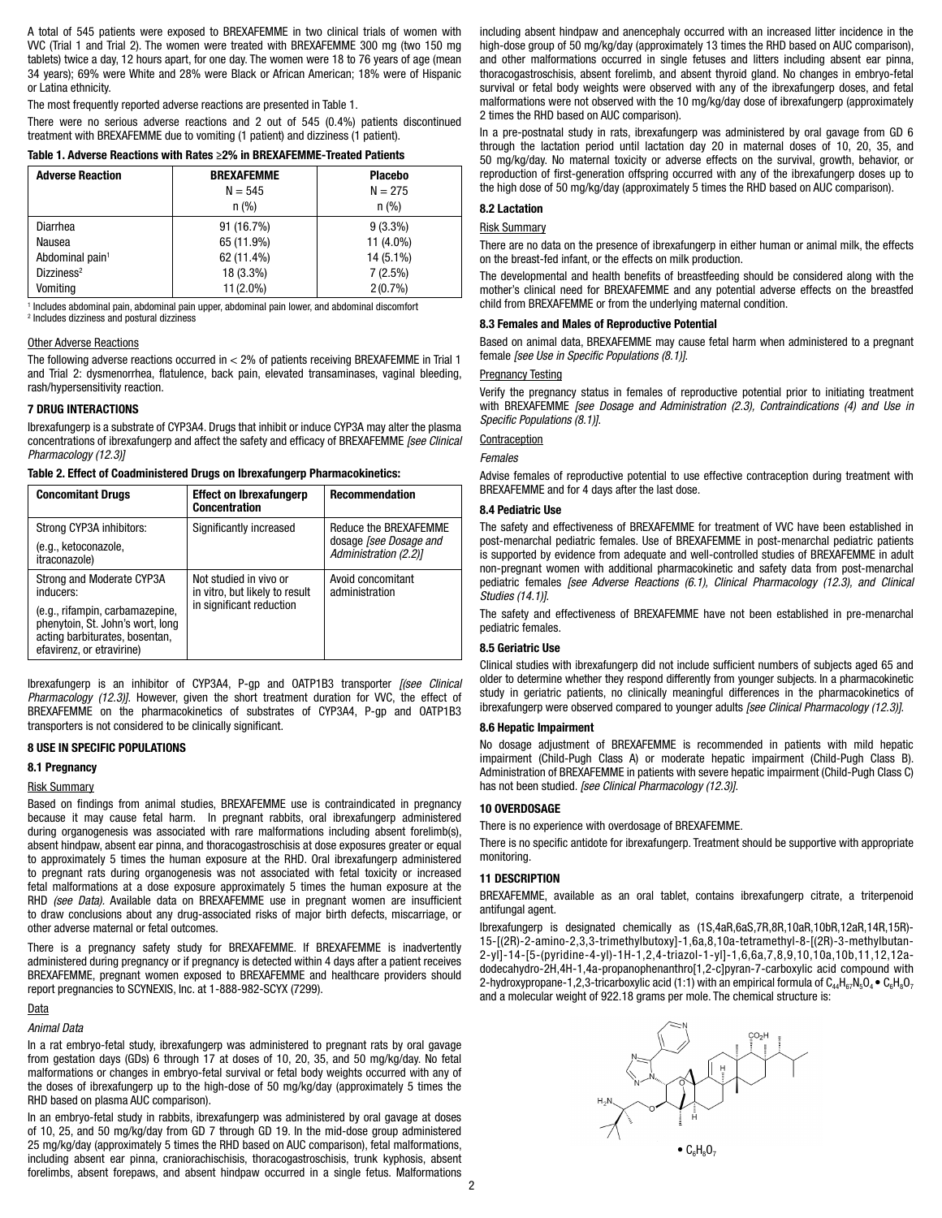A total of 545 patients were exposed to BREXAFEMME in two clinical trials of women with VVC (Trial 1 and Trial 2). The women were treated with BREXAFEMME 300 mg (two 150 mg tablets) twice a day, 12 hours apart, for one day. The women were 18 to 76 years of age (mean 34 years); 69% were White and 28% were Black or African American; 18% were of Hispanic or Latina ethnicity.

The most frequently reported adverse reactions are presented in Table 1.

There were no serious adverse reactions and 2 out of 545 (0.4%) patients discontinued treatment with BREXAFEMME due to vomiting (1 patient) and dizziness (1 patient).

# Table 1. Adverse Reactions with Rates ≥2% in BREXAFEMME-Treated Patients

| <b>Adverse Reaction</b>     | <b>BREXAFEMME</b>       | <b>Placebo</b> |  |
|-----------------------------|-------------------------|----------------|--|
|                             | $N = 545$               | $N = 275$      |  |
|                             | n (% )                  | n (%)          |  |
| <b>Diarrhea</b>             | 91 (16.7%)              | $9(3.3\%)$     |  |
| Nausea                      | 65 (11.9%)              | 11 (4.0%)      |  |
| Abdominal pain <sup>1</sup> | 62 (11.4%)              | 14 (5.1%)      |  |
| Dizziness <sup>2</sup>      | 18 (3.3%)               | 7(2.5%)        |  |
| Vomiting                    | 11 (2.0%)<br>$2(0.7\%)$ |                |  |

<sup>1</sup> Includes abdominal pain, abdominal pain upper, abdominal pain lower, and abdominal discomfort 2 Includes dizziness and postural dizziness

#### Other Adverse Reactions

The following adverse reactions occurred in < 2% of patients receiving BREXAFEMME in Trial 1 and Trial 2: dysmenorrhea, flatulence, back pain, elevated transaminases, vaginal bleeding, rash/hypersensitivity reaction.

#### 7 DRUG INTERACTIONS

Ibrexafungerp is a substrate of CYP3A4. Drugs that inhibit or induce CYP3A may alter the plasma concentrations of ibrexafungerp and affect the safety and efficacy of BREXAFEMME *[see Clinical Pharmacology (12.3)]*

Table 2. Effect of Coadministered Drugs on Ibrexafungerp Pharmacokinetics:

| <b>Concomitant Drugs</b>                                                                                                                                                     | <b>Effect on Ibrexafungerp</b><br><b>Concentration</b>                               | <b>Recommendation</b>                                                           |
|------------------------------------------------------------------------------------------------------------------------------------------------------------------------------|--------------------------------------------------------------------------------------|---------------------------------------------------------------------------------|
| Strong CYP3A inhibitors:<br>(e.g., ketoconazole,<br>itraconazole)                                                                                                            | Significantly increased                                                              | Reduce the BREXAFEMME<br>dosage <i>[see Dosage and</i><br>Administration (2.2)] |
| Strong and Moderate CYP3A<br>inducers:<br>(e.g., rifampin, carbamazepine,<br>phenytoin, St. John's wort, long<br>acting barbiturates, bosentan,<br>efavirenz, or etravirine) | Not studied in vivo or<br>in vitro, but likely to result<br>in significant reduction | Avoid concomitant<br>administration                                             |

Ibrexafungerp is an inhibitor of CYP3A4, P-gp and OATP1B3 transporter *[(see Clinical Pharmacology (12.3)]*. However, given the short treatment duration for WC, the effect of BREXAFEMME on the pharmacokinetics of substrates of CYP3A4, P-gp and OATP1B3 transporters is not considered to be clinically significant.

# 8 USE IN SPECIFIC POPULATIONS

# 8.1 Pregnancy

# Risk Summary

Based on findings from animal studies, BREXAFEMME use is contraindicated in pregnancy because it may cause fetal harm. In pregnant rabbits, oral ibrexafungerp administered during organogenesis was associated with rare malformations including absent forelimb(s), absent hindpaw, absent ear pinna, and thoracogastroschisis at dose exposures greater or equal to approximately 5 times the human exposure at the RHD. Oral ibrexafungerp administered to pregnant rats during organogenesis was not associated with fetal toxicity or increased fetal malformations at a dose exposure approximately 5 times the human exposure at the RHD *(see Data).* Available data on BREXAFEMME use in pregnant women are insufficient to draw conclusions about any drug-associated risks of major birth defects, miscarriage, or other adverse maternal or fetal outcomes.

There is a pregnancy safety study for BREXAFEMME. If BREXAFEMME is inadvertently administered during pregnancy or if pregnancy is detected within 4 days after a patient receives BREXAFEMME, pregnant women exposed to BREXAFEMME and healthcare providers should report pregnancies to SCYNEXIS, Inc. at 1-888-982-SCYX (7299).

# Data

### *Animal Data*

In a rat embryo-fetal study, ibrexafungerp was administered to pregnant rats by oral gavage from gestation days (GDs) 6 through 17 at doses of 10, 20, 35, and 50 mg/kg/day. No fetal malformations or changes in embryo-fetal survival or fetal body weights occurred with any of the doses of ibrexafungerp up to the high-dose of 50 mg/kg/day (approximately 5 times the RHD based on plasma AUC comparison).

In an embryo-fetal study in rabbits, ibrexafungerp was administered by oral gavage at doses of 10, 25, and 50 mg/kg/day from GD 7 through GD 19. In the mid-dose group administered 25 mg/kg/day (approximately 5 times the RHD based on AUC comparison), fetal malformations, including absent ear pinna, craniorachischisis, thoracogastroschisis, trunk kyphosis, absent forelimbs, absent forepaws, and absent hindpaw occurred in a single fetus. Malformations

including absent hindpaw and anencephaly occurred with an increased litter incidence in the high-dose group of 50 mg/kg/day (approximately 13 times the RHD based on AUC comparison), and other malformations occurred in single fetuses and litters including absent ear pinna, thoracogastroschisis, absent forelimb, and absent thyroid gland. No changes in embryo-fetal survival or fetal body weights were observed with any of the ibrexafungerp doses, and fetal malformations were not observed with the 10 mg/kg/day dose of ibrexafungerp (approximately 2 times the RHD based on AUC comparison).

In a pre-postnatal study in rats, ibrexafungerp was administered by oral gavage from GD 6 through the lactation period until lactation day 20 in maternal doses of 10, 20, 35, and 50 mg/kg/day. No maternal toxicity or adverse effects on the survival, growth, behavior, or reproduction of first-generation offspring occurred with any of the ibrexafungerp doses up to the high dose of 50 mg/kg/day (approximately 5 times the RHD based on AUC comparison).

# 8.2 Lactation

# Risk Summary

There are no data on the presence of ibrexafungerp in either human or animal milk, the effects on the breast-fed infant, or the effects on milk production.

The developmental and health benefits of breastfeeding should be considered along with the mother's clinical need for BREXAFEMME and any potential adverse effects on the breastfed child from BREXAFEMME or from the underlying maternal condition.

# 8.3 Females and Males of Reproductive Potential

Based on animal data, BREXAFEMME may cause fetal harm when administered to a pregnant female *[see Use in Specific Populations (8.1)]*.

### Pregnancy Testing

Verify the pregnancy status in females of reproductive potential prior to initiating treatment with BREXAFEMME *[see Dosage and Administration (2.3), Contraindications (4) and Use in Specific Populations (8.1)]*.

Contraception

### *Females*

Advise females of reproductive potential to use effective contraception during treatment with BREXAFEMME and for 4 days after the last dose.

# 8.4 Pediatric Use

The safety and effectiveness of BREXAFEMME for treatment of VVC have been established in post-menarchal pediatric females. Use of BREXAFEMME in post-menarchal pediatric patients is supported by evidence from adequate and well-controlled studies of BREXAFEMME in adult non-pregnant women with additional pharmacokinetic and safety data from post-menarchal pediatric females *[see Adverse Reactions (6.1), Clinical Pharmacology (12.3), and Clinical Studies (14.1)]*.

The safety and effectiveness of BREXAFEMME have not been established in pre-menarchal pediatric females.

### 8.5 Geriatric Use

Clinical studies with ibrexafungerp did not include sufficient numbers of subjects aged 65 and older to determine whether they respond differently from younger subjects. In a pharmacokinetic study in geriatric patients, no clinically meaningful differences in the pharmacokinetics of ibrexafungerp were observed compared to younger adults *[see Clinical Pharmacology (12.3)]*.

## 8.6 Hepatic Impairment

No dosage adjustment of BREXAFEMME is recommended in patients with mild hepatic impairment (Child-Pugh Class A) or moderate hepatic impairment (Child-Pugh Class B). Administration of BREXAFEMME in patients with severe hepatic impairment (Child-Pugh Class C) has not been studied. *[see Clinical Pharmacology (12.3)]*.

#### 10 OVERDOSAGE

There is no experience with overdosage of BREXAFEMME.

There is no specific antidote for ibrexafungerp. Treatment should be supportive with appropriate monitoring.

## 11 DESCRIPTION

BREXAFEMME, available as an oral tablet, contains ibrexafungerp citrate, a triterpenoid antifungal agent.

Ibrexafungerp is designated chemically as (1S,4aR,6aS,7R,8R,10aR,10bR,12aR,14R,15R)- 15-[(2R)-2-amino-2,3,3-trimethylbutoxy]-1,6a,8,10a-tetramethyl-8-[(2R)-3-methylbutan-2-yl]-14-[5-(pyridine-4-yl)-1H-1,2,4-triazol-1-yl]-1,6,6a,7,8,9,10,10a,10b,11,12,12adodecahydro-2H,4H-1,4a-propanophenanthro[1,2-c]pyran-7-carboxylic acid compound with 2-hydroxypropane-1,2,3-tricarboxylic acid (1:1) with an empirical formula of  $C_{44}H_{67}N_5O_4\bullet C_6H_8O_7$ and a molecular weight of 922.18 grams per mole. The chemical structure is:

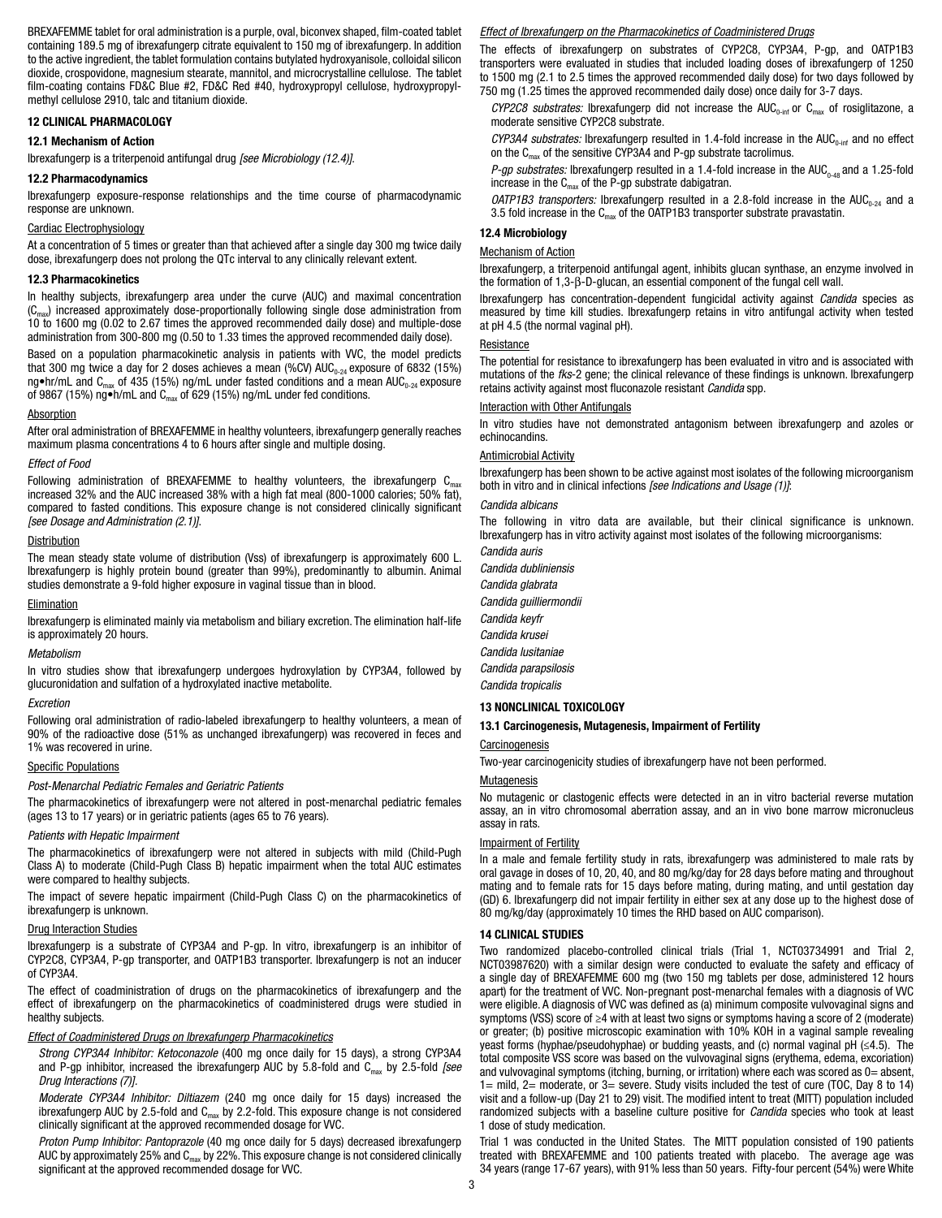BREXAFEMME tablet for oral administration is a purple, oval, biconvex shaped, film-coated tablet containing 189.5 mg of ibrexafungerp citrate equivalent to 150 mg of ibrexafungerp. In addition to the active ingredient, the tablet formulation contains butylated hydroxyanisole, colloidal silicon dioxide, crospovidone, magnesium stearate, mannitol, and microcrystalline cellulose. The tablet film-coating contains FD&C Blue #2, FD&C Red #40, hydroxypropyl cellulose, hydroxypropylmethyl cellulose 2910, talc and titanium dioxide.

### 12 CLINICAL PHARMACOLOGY

#### 12.1 Mechanism of Action

Ibrexafungerp is a triterpenoid antifungal drug *[see Microbiology (12.4)]*.

### 12.2 Pharmacodynamics

Ibrexafungerp exposure-response relationships and the time course of pharmacodynamic response are unknown.

#### Cardiac Electrophysiology

At a concentration of 5 times or greater than that achieved after a single day 300 mg twice daily dose, ibrexafungerp does not prolong the QTc interval to any clinically relevant extent.

### 12.3 Pharmacokinetics

In healthy subjects, ibrexafungerp area under the curve (AUC) and maximal concentration  $(C_{\text{max}})$  increased approximately dose-proportionally following single dose administration from 10 to 1600 mg (0.02 to 2.67 times the approved recommended daily dose) and multiple-dose administration from 300-800 mg (0.50 to 1.33 times the approved recommended daily dose).

Based on a population pharmacokinetic analysis in patients with VVC, the model predicts that 300 mg twice a day for 2 doses achieves a mean (%CV)  $AUC_{0.24}$  exposure of 6832 (15%) ng•hr/mL and C<sub>max</sub> of 435 (15%) ng/mL under fasted conditions and a mean AUC<sub>0-24</sub> exposure of 9867 (15%) ng•h/mL and  $C_{\text{max}}$  of 629 (15%) ng/mL under fed conditions.

#### **Absorption**

After oral administration of BREXAFEMME in healthy volunteers, ibrexafungerp generally reaches maximum plasma concentrations 4 to 6 hours after single and multiple dosing.

#### *Effect of Food*

Following administration of BREXAFEMME to healthy volunteers, the ibrexafungerp  $C_{\text{max}}$ increased 32% and the AUC increased 38% with a high fat meal (800-1000 calories; 50% fat), compared to fasted conditions. This exposure change is not considered clinically significant *[see Dosage and Administration (2.1)]*.

# **Distribution**

The mean steady state volume of distribution (Vss) of ibrexafungerp is approximately 600 L. Ibrexafungerp is highly protein bound (greater than 99%), predominantly to albumin. Animal studies demonstrate a 9-fold higher exposure in vaginal tissue than in blood.

# Elimination

Ibrexafungerp is eliminated mainly via metabolism and biliary excretion. The elimination half-life is approximately 20 hours.

#### *Metabolism*

In vitro studies show that ibrexafungerp undergoes hydroxylation by CYP3A4, followed by glucuronidation and sulfation of a hydroxylated inactive metabolite.

#### *Excretion*

Following oral administration of radio-labeled ibrexafungerp to healthy volunteers, a mean of 90% of the radioactive dose (51% as unchanged ibrexafungerp) was recovered in feces and 1% was recovered in urine.

#### Specific Populations

#### *Post-Menarchal Pediatric Females and Geriatric Patients*

The pharmacokinetics of ibrexafungerp were not altered in post-menarchal pediatric females (ages 13 to 17 years) or in geriatric patients (ages 65 to 76 years).

#### *Patients with Hepatic Impairment*

The pharmacokinetics of ibrexafungerp were not altered in subjects with mild (Child-Pugh Class A) to moderate (Child-Pugh Class B) hepatic impairment when the total AUC estimates were compared to healthy subjects.

The impact of severe hepatic impairment (Child-Pugh Class C) on the pharmacokinetics of ibrexafungerp is unknown.

#### Drug Interaction Studies

Ibrexafungerp is a substrate of CYP3A4 and P-gp. In vitro, ibrexafungerp is an inhibitor of CYP2C8, CYP3A4, P-gp transporter, and OATP1B3 transporter. Ibrexafungerp is not an inducer of CYP3A4.

The effect of coadministration of drugs on the pharmacokinetics of ibrexafungerp and the effect of ibrexafungerp on the pharmacokinetics of coadministered drugs were studied in healthy subjects.

# *Effect of Coadministered Drugs on Ibrexafungerp Pharmacokinetics*

*Strong CYP3A4 Inhibitor: Ketoconazole* (400 mg once daily for 15 days), a strong CYP3A4 and P-gp inhibitor, increased the ibrexafungerp AUC by 5.8-fold and C<sub>max</sub> by 2.5-fold *[see Drug Interactions (7)].*

*Moderate CYP3A4 Inhibitor: Diltiazem* (240 mg once daily for 15 days) increased the ibrexafungerp AUC by 2.5-fold and  $C<sub>max</sub>$  by 2.2-fold. This exposure change is not considered clinically significant at the approved recommended dosage for VVC.

*Proton Pump Inhibitor: Pantoprazole* (40 mg once daily for 5 days) decreased ibrexafungerp AUC by approximately 25% and  $C_{\text{max}}$  by 22%. This exposure change is not considered clinically significant at the approved recommended dosage for VVC.

# *Effect of Ibrexafungerp on the Pharmacokinetics of Coadministered Drugs*

The effects of ibrexafungerp on substrates of CYP2C8, CYP3A4, P-gp, and OATP1B3 transporters were evaluated in studies that included loading doses of ibrexafungerp of 1250 to 1500 mg (2.1 to 2.5 times the approved recommended daily dose) for two days followed by 750 mg (1.25 times the approved recommended daily dose) once daily for 3-7 days.

 $CYP2C8$  substrates: Ibrexafungerp did not increase the  $AUC_{0-int}$  or  $C_{max}$  of rosiglitazone, a moderate sensitive CYP2C8 substrate.

 $CYP3A4$  substrates: Ibrexafungerp resulted in 1.4-fold increase in the  $AUC_{0\text{-inf}}$  and no effect on the  $C_{\text{max}}$  of the sensitive CYP3A4 and P-gp substrate tacrolimus.

*P-gp substrates:* Ibrexafungerp resulted in a 1.4-fold increase in the AUC<sub>0-48</sub> and a 1.25-fold increase in the  $C_{\text{max}}$  of the P-gp substrate dabigatran.

*OATP1B3 transporters:* Ibrexafungerp resulted in a 2.8-fold increase in the  $AUC_{0.24}$  and a 3.5 fold increase in the  $C_{\text{max}}$  of the OATP1B3 transporter substrate pravastatin.

# 12.4 Microbiology

# Mechanism of Action

Ibrexafungerp, a triterpenoid antifungal agent, inhibits glucan synthase, an enzyme involved in the formation of 1,3-β-D-glucan, an essential component of the fungal cell wall.

Ibrexafungerp has concentration-dependent fungicidal activity against *Candida* species as measured by time kill studies. Ibrexafungerp retains in vitro antifungal activity when tested at pH 4.5 (the normal vaginal pH).

# **Resistance**

The potential for resistance to ibrexafungerp has been evaluated in vitro and is associated with mutations of the *fks*-2 gene; the clinical relevance of these findings is unknown. Ibrexafungerp retains activity against most fluconazole resistant *Candida* spp.

# Interaction with Other Antifungals

In vitro studies have not demonstrated antagonism between ibrexafungerp and azoles or echinocandins.

# **Antimicrobial Activity**

Ibrexafungerp has been shown to be active against most isolates of the following microorganism both in vitro and in clinical infections *[see Indications and Usage (1)]*:

### *Candida albicans*

The following in vitro data are available, but their clinical significance is unknown. Ibrexafungerp has in vitro activity against most isolates of the following microorganisms:

*Candida auris Candida dubliniensis Candida glabrata Candida guilliermondii Candida keyfr Candida krusei Candida lusitaniae Candida parapsilosis Candida tropicalis*

#### 13 NONCLINICAL TOXICOLOGY

## 13.1 Carcinogenesis, Mutagenesis, Impairment of Fertility

## Carcinogenesis

Two-year carcinogenicity studies of ibrexafungerp have not been performed.

#### **Mutagenesis**

No mutagenic or clastogenic effects were detected in an in vitro bacterial reverse mutation assay, an in vitro chromosomal aberration assay, and an in vivo bone marrow micronucleus assay in rats.

## Impairment of Fertility

In a male and female fertility study in rats, ibrexafungerp was administered to male rats by oral gavage in doses of 10, 20, 40, and 80 mg/kg/day for 28 days before mating and throughout mating and to female rats for 15 days before mating, during mating, and until gestation day (GD) 6. Ibrexafungerp did not impair fertility in either sex at any dose up to the highest dose of 80 mg/kg/day (approximately 10 times the RHD based on AUC comparison).

#### 14 CLINICAL STUDIES

Two randomized placebo-controlled clinical trials (Trial 1, NCT03734991 and Trial 2, NCT03987620) with a similar design were conducted to evaluate the safety and efficacy of a single day of BREXAFEMME 600 mg (two 150 mg tablets per dose, administered 12 hours apart) for the treatment of VVC. Non-pregnant post-menarchal females with a diagnosis of VVC were eligible. A diagnosis of VVC was defined as (a) minimum composite vulvovaginal signs and symptoms (VSS) score of ≥4 with at least two signs or symptoms having a score of 2 (moderate) or greater; (b) positive microscopic examination with 10% KOH in a vaginal sample revealing yeast forms (hyphae/pseudohyphae) or budding yeasts, and (c) normal vaginal pH (≤4.5). The total composite VSS score was based on the vulvovaginal signs (erythema, edema, excoriation) and vulvovaginal symptoms (itching, burning, or irritation) where each was scored as 0= absent, 1= mild, 2= moderate, or 3= severe. Study visits included the test of cure (TOC, Day 8 to 14) visit and a follow-up (Day 21 to 29) visit. The modified intent to treat (MITT) population included randomized subjects with a baseline culture positive for *Candida* species who took at least 1 dose of study medication.

Trial 1 was conducted in the United States. The MITT population consisted of 190 patients treated with BREXAFEMME and 100 patients treated with placebo. The average age was 34 years (range 17-67 years), with 91% less than 50 years. Fifty-four percent (54%) were White